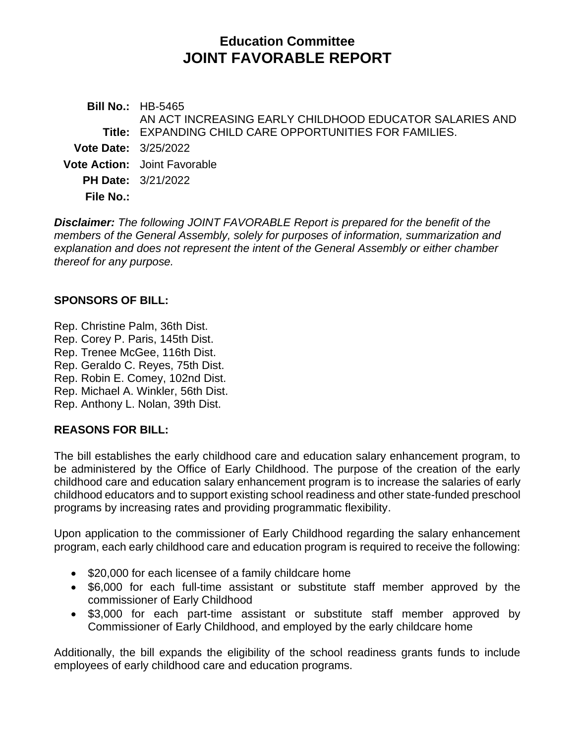# **Education Committee JOINT FAVORABLE REPORT**

**Bill No.:** HB-5465 **Title:** EXPANDING CHILD CARE OPPORTUNITIES FOR FAMILIES. AN ACT INCREASING EARLY CHILDHOOD EDUCATOR SALARIES AND **Vote Date:** 3/25/2022 **Vote Action:** Joint Favorable **PH Date:** 3/21/2022 **File No.:**

*Disclaimer: The following JOINT FAVORABLE Report is prepared for the benefit of the members of the General Assembly, solely for purposes of information, summarization and explanation and does not represent the intent of the General Assembly or either chamber thereof for any purpose.*

#### **SPONSORS OF BILL:**

Rep. Christine Palm, 36th Dist. Rep. Corey P. Paris, 145th Dist. Rep. Trenee McGee, 116th Dist. Rep. Geraldo C. Reyes, 75th Dist. Rep. Robin E. Comey, 102nd Dist. Rep. Michael A. Winkler, 56th Dist. Rep. Anthony L. Nolan, 39th Dist.

## **REASONS FOR BILL:**

The bill establishes the early childhood care and education salary enhancement program, to be administered by the Office of Early Childhood. The purpose of the creation of the early childhood care and education salary enhancement program is to increase the salaries of early childhood educators and to support existing school readiness and other state-funded preschool programs by increasing rates and providing programmatic flexibility.

Upon application to the commissioner of Early Childhood regarding the salary enhancement program, each early childhood care and education program is required to receive the following:

- \$20,000 for each licensee of a family childcare home
- \$6,000 for each full-time assistant or substitute staff member approved by the commissioner of Early Childhood
- \$3,000 for each part-time assistant or substitute staff member approved by Commissioner of Early Childhood, and employed by the early childcare home

Additionally, the bill expands the eligibility of the school readiness grants funds to include employees of early childhood care and education programs.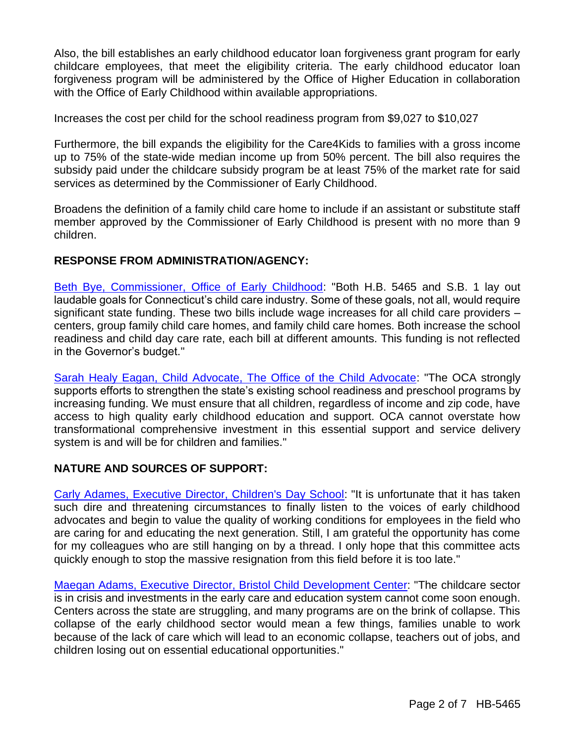Also, the bill establishes an early childhood educator loan forgiveness grant program for early childcare employees, that meet the eligibility criteria. The early childhood educator loan forgiveness program will be administered by the Office of Higher Education in collaboration with the Office of Early Childhood within available appropriations.

Increases the cost per child for the school readiness program from \$9,027 to \$10,027

Furthermore, the bill expands the eligibility for the Care4Kids to families with a gross income up to 75% of the state-wide median income up from 50% percent. The bill also requires the subsidy paid under the childcare subsidy program be at least 75% of the market rate for said services as determined by the Commissioner of Early Childhood.

Broadens the definition of a family child care home to include if an assistant or substitute staff member approved by the Commissioner of Early Childhood is present with no more than 9 children.

#### **RESPONSE FROM ADMINISTRATION/AGENCY:**

[Beth Bye, Commissioner, Office of Early Childhood:](http://cgalites/2022/EDdata/Tmy/2022HB-05465-R000321-Bye,%20Beth,%20Commissioner-Office%20of%20Early%20Childhood-TMY.PDF) "Both H.B. 5465 and S.B. 1 lay out laudable goals for Connecticut's child care industry. Some of these goals, not all, would require significant state funding. These two bills include wage increases for all child care providers – centers, group family child care homes, and family child care homes. Both increase the school readiness and child day care rate, each bill at different amounts. This funding is not reflected in the Governor's budget."

[Sarah Healy Eagan, Child Advocate, The Office of the Child Advocate:](http://cgalites/2022/EDdata/Tmy/2022HB-05465-R000321-Healy%20Eagan,%20Sarah,%20Child%20Advocate-Office%20of%20the%20Child%20Advocate-TMY.PDF) "The OCA strongly supports efforts to strengthen the state's existing school readiness and preschool programs by increasing funding. We must ensure that all children, regardless of income and zip code, have access to high quality early childhood education and support. OCA cannot overstate how transformational comprehensive investment in this essential support and service delivery system is and will be for children and families."

#### **NATURE AND SOURCES OF SUPPORT:**

[Carly Adames, Executive Director, Children's Day School:](http://cgalites/2022/EDdata/Tmy/2022HB-05465-R000321-Adames,%20Carly,%20Executive%20Director-Children%20s%20Day%20School-TMY.PDF) "It is unfortunate that it has taken such dire and threatening circumstances to finally listen to the voices of early childhood advocates and begin to value the quality of working conditions for employees in the field who are caring for and educating the next generation. Still, I am grateful the opportunity has come for my colleagues who are still hanging on by a thread. I only hope that this committee acts quickly enough to stop the massive resignation from this field before it is too late."

[Maegan Adams, Executive Director, Bristol Child Development Center:](http://cgalites/2022/EDdata/Tmy/2022HB-05465-R000321-Adams,%20Maegan,%20Executive%20Director-Bristol%20Child%20Development%20Center-TMY.PDF) "The childcare sector is in crisis and investments in the early care and education system cannot come soon enough. Centers across the state are struggling, and many programs are on the brink of collapse. This collapse of the early childhood sector would mean a few things, families unable to work because of the lack of care which will lead to an economic collapse, teachers out of jobs, and children losing out on essential educational opportunities."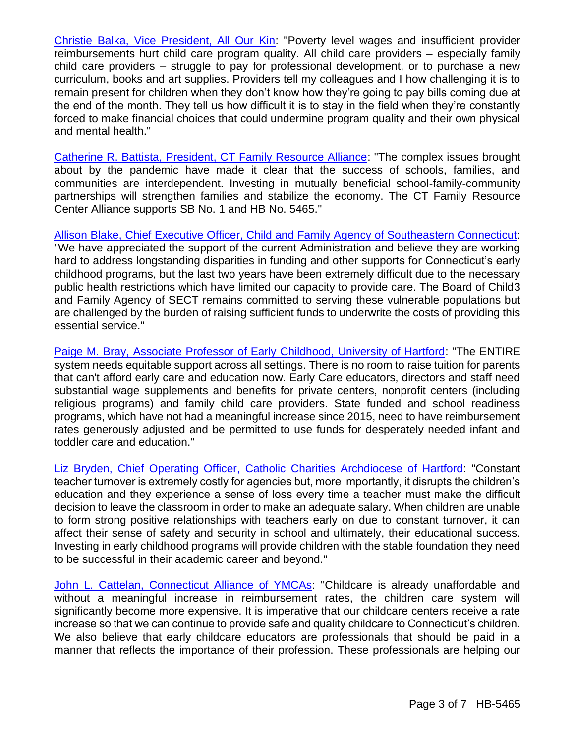[Christie Balka, Vice President, All Our Kin:](http://cgalites/2022/EDdata/Tmy/2022HB-05465-R000321-Balka,%20Christie,%20Vice%20President-Policy%20at%20All%20Our%20Kin-TMY.PDF) "Poverty level wages and insufficient provider reimbursements hurt child care program quality. All child care providers – especially family child care providers – struggle to pay for professional development, or to purchase a new curriculum, books and art supplies. Providers tell my colleagues and I how challenging it is to remain present for children when they don't know how they're going to pay bills coming due at the end of the month. They tell us how difficult it is to stay in the field when they're constantly forced to make financial choices that could undermine program quality and their own physical and mental health."

[Catherine R. Battista, President, CT Family Resource Alliance:](http://cgalites/2022/EDdata/Tmy/2022HB-05465-R000321-Battista,%20Catherine,%20President-CT%20Family%20Resource%20Center%20Alliance-TMY.PDF) "The complex issues brought about by the pandemic have made it clear that the success of schools, families, and communities are interdependent. Investing in mutually beneficial school-family-community partnerships will strengthen families and stabilize the economy. The CT Family Resource Center Alliance supports SB No. 1 and HB No. 5465."

[Allison Blake, Chief Executive Officer, Child and Family Agency of Southeastern Connecticut:](http://cgalites/2022/EDdata/Tmy/2022HB-05465-R000321-Blake,%20Allison,%20Chief%20Executive%20Officer-Child%20-%20Family%20Agency%20of%20Southeastern%20Connecticut,%20Inc.-TMY.PDF) "We have appreciated the support of the current Administration and believe they are working hard to address longstanding disparities in funding and other supports for Connecticut's early childhood programs, but the last two years have been extremely difficult due to the necessary public health restrictions which have limited our capacity to provide care. The Board of Child3 and Family Agency of SECT remains committed to serving these vulnerable populations but are challenged by the burden of raising sufficient funds to underwrite the costs of providing this essential service."

[Paige M. Bray, Associate Professor of Early Childhood, University of Hartford:](http://cgalites/2022/EDdata/Tmy/2022HB-05465-R000321-Bray,%20Paige-TMY.PDF) "The ENTIRE system needs equitable support across all settings. There is no room to raise tuition for parents that can't afford early care and education now. Early Care educators, directors and staff need substantial wage supplements and benefits for private centers, nonprofit centers (including religious programs) and family child care providers. State funded and school readiness programs, which have not had a meaningful increase since 2015, need to have reimbursement rates generously adjusted and be permitted to use funds for desperately needed infant and toddler care and education."

[Liz Bryden, Chief Operating Officer, Catholic Charities Archdiocese of Hartford:](http://cgalites/2022/EDdata/Tmy/2022HB-05465-R000321-Bryden,%20Liz,%20Chief%20Operating%20Officer-Catholic%20Charities%20Archdiocese%20of%20Hartford-TMY.PDF) "Constant teacher turnover is extremely costly for agencies but, more importantly, it disrupts the children's education and they experience a sense of loss every time a teacher must make the difficult decision to leave the classroom in order to make an adequate salary. When children are unable to form strong positive relationships with teachers early on due to constant turnover, it can affect their sense of safety and security in school and ultimately, their educational success. Investing in early childhood programs will provide children with the stable foundation they need to be successful in their academic career and beyond."

[John L. Cattelan, Connecticut Alliance of YMCAs:](http://cgalites/2022/EDdata/Tmy/2022HB-05465-R000321-Cattelan,%20John-Connecticut%20Alliance%20of%20YMCAs-TMY.PDF) "Childcare is already unaffordable and without a meaningful increase in reimbursement rates, the children care system will significantly become more expensive. It is imperative that our childcare centers receive a rate increase so that we can continue to provide safe and quality childcare to Connecticut's children. We also believe that early childcare educators are professionals that should be paid in a manner that reflects the importance of their profession. These professionals are helping our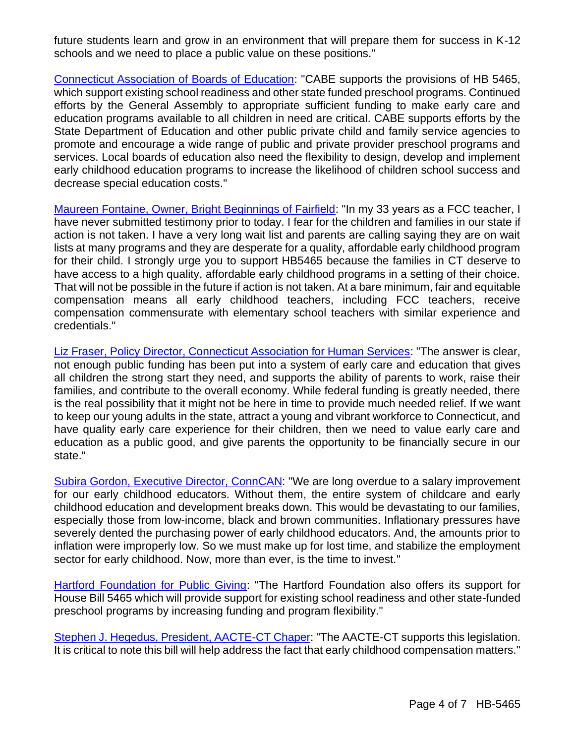future students learn and grow in an environment that will prepare them for success in K-12 schools and we need to place a public value on these positions."

[Connecticut Association of Boards of Education:](http://cgalites/2022/EDdata/Tmy/2022HB-05465-R000321-Connecticut%20Assoc.%20Of%20Boards%20of%20Education,%20Inc.-TMY.PDF) "CABE supports the provisions of HB 5465, which support existing school readiness and other state funded preschool programs. Continued efforts by the General Assembly to appropriate sufficient funding to make early care and education programs available to all children in need are critical. CABE supports efforts by the State Department of Education and other public private child and family service agencies to promote and encourage a wide range of public and private provider preschool programs and services. Local boards of education also need the flexibility to design, develop and implement early childhood education programs to increase the likelihood of children school success and decrease special education costs."

[Maureen Fontaine, Owner, Bright Beginnings of Fairfield:](http://cgalites/2022/EDdata/Tmy/2022HB-05465-R000321-Fontaine,%20Maureen,%20Owner-Bright%20Beginnings%20of%20Fairfield-TMY.PDF) "In my 33 years as a FCC teacher, I have never submitted testimony prior to today. I fear for the children and families in our state if action is not taken. I have a very long wait list and parents are calling saying they are on wait lists at many programs and they are desperate for a quality, affordable early childhood program for their child. I strongly urge you to support HB5465 because the families in CT deserve to have access to a high quality, affordable early childhood programs in a setting of their choice. That will not be possible in the future if action is not taken. At a bare minimum, fair and equitable compensation means all early childhood teachers, including FCC teachers, receive compensation commensurate with elementary school teachers with similar experience and credentials."

[Liz Fraser, Policy Director, Connecticut Association for Human Services:](http://cgalites/2022/EDdata/Tmy/2022HB-05465-R000321-Fraser,%20Liz,%20Policy%20Director-CT%20Association%20for%20Human%20Services-TMY.PDF) "The answer is clear, not enough public funding has been put into a system of early care and education that gives all children the strong start they need, and supports the ability of parents to work, raise their families, and contribute to the overall economy. While federal funding is greatly needed, there is the real possibility that it might not be here in time to provide much needed relief. If we want to keep our young adults in the state, attract a young and vibrant workforce to Connecticut, and have quality early care experience for their children, then we need to value early care and education as a public good, and give parents the opportunity to be financially secure in our state."

[Subira Gordon, Executive Director, ConnCAN:](http://cgalites/2022/EDdata/Tmy/2022HB-05465-R000321-Gordon,%20Subira,%20Executive%20Director-ConnCAN-TMY.PDF) "We are long overdue to a salary improvement for our early childhood educators. Without them, the entire system of childcare and early childhood education and development breaks down. This would be devastating to our families, especially those from low-income, black and brown communities. Inflationary pressures have severely dented the purchasing power of early childhood educators. And, the amounts prior to inflation were improperly low. So we must make up for lost time, and stabilize the employment sector for early childhood. Now, more than ever, is the time to invest."

[Hartford Foundation for Public Giving:](http://cgalites/2022/EDdata/Tmy/2022HB-05465-R000321-Hartford%20Foundation%20for%20Public%20Giving-TMY.PDF) "The Hartford Foundation also offers its support for House Bill 5465 which will provide support for existing school readiness and other state-funded preschool programs by increasing funding and program flexibility."

[Stephen J. Hegedus, President, AACTE-CT Chaper:](http://cgalites/2022/EDdata/Tmy/2022HB-05465-R000321-Hegedus,%20Stephen,%20President-American%20Association%20Colleges%20for%20Teacher%20Education-CT%20Chapter-TMY.PDF) "The AACTE-CT supports this legislation. It is critical to note this bill will help address the fact that early childhood compensation matters."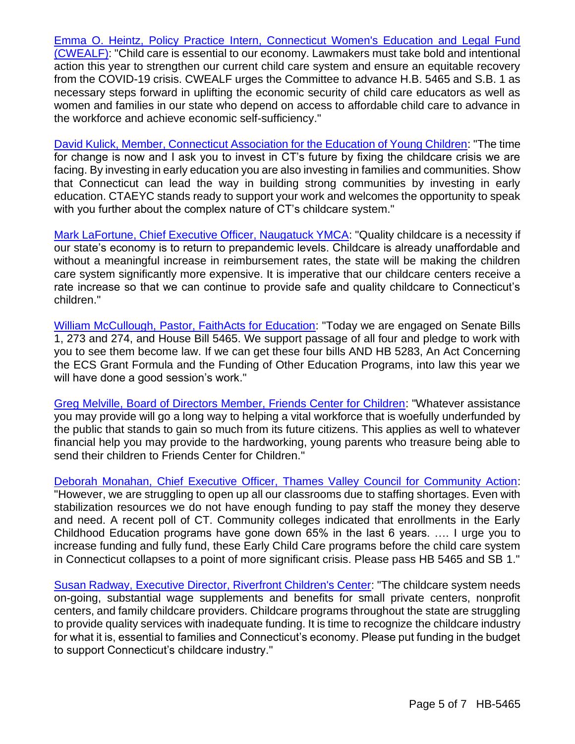[Emma O. Heintz, Policy Practice Intern, Connecticut Women's Education and Legal Fund](http://cgalites/2022/EDdata/Tmy/2022HB-05465-R000321-Heintz,%20Emma,%20Connecticut%20Women-s%20Education%20and%20Legal%20Fund-TMY.PDF)  [\(CWEALF\):](http://cgalites/2022/EDdata/Tmy/2022HB-05465-R000321-Heintz,%20Emma,%20Connecticut%20Women-s%20Education%20and%20Legal%20Fund-TMY.PDF) "Child care is essential to our economy. Lawmakers must take bold and intentional action this year to strengthen our current child care system and ensure an equitable recovery from the COVID-19 crisis. CWEALF urges the Committee to advance H.B. 5465 and S.B. 1 as necessary steps forward in uplifting the economic security of child care educators as well as women and families in our state who depend on access to affordable child care to advance in the workforce and achieve economic self-sufficiency."

[David Kulick, Member, Connecticut Association for the Education of Young Children:](http://cgalites/2022/EDdata/Tmy/2022HB-05465-R000321-Kulick,%20David,%20Member%20-%20Previous%20Co-President-CT%20Assoc.%20of%20the%20Education%20of%20Young%20Children-TMY.PDF) "The time for change is now and I ask you to invest in CT's future by fixing the childcare crisis we are facing. By investing in early education you are also investing in families and communities. Show that Connecticut can lead the way in building strong communities by investing in early education. CTAEYC stands ready to support your work and welcomes the opportunity to speak with you further about the complex nature of CT's childcare system."

[Mark LaFortune, Chief Executive Officer, Naugatuck YMCA:](http://cgalites/2022/EDdata/Tmy/2022HB-05465-R000321-LaFortune,%20Mark,%20Chief%20Executive%20Offiver-Nagatuck%20YMCA-TMY.PDF) "Quality childcare is a necessity if our state's economy is to return to prepandemic levels. Childcare is already unaffordable and without a meaningful increase in reimbursement rates, the state will be making the children care system significantly more expensive. It is imperative that our childcare centers receive a rate increase so that we can continue to provide safe and quality childcare to Connecticut's children."

[William McCullough, Pastor, FaithActs for Education:](http://cgalites/2022/EDdata/Tmy/2022HB-05465-R000321-McCollough,%20William,%20Senior%20Pastor-Russell%20Temple%20CME%20Church-TMY.PDF) "Today we are engaged on Senate Bills 1, 273 and 274, and House Bill 5465. We support passage of all four and pledge to work with you to see them become law. If we can get these four bills AND HB 5283, An Act Concerning the ECS Grant Formula and the Funding of Other Education Programs, into law this year we will have done a good session's work."

[Greg Melville, Board of Directors Member, Friends Center for Children:](http://cgalites/2022/EDdata/Tmy/2022HB-05465-R000321-Melville,%20Greg,%20Board%20of%20Directors-Friends%20Center%20for%20Children-TMY.PDF) "Whatever assistance you may provide will go a long way to helping a vital workforce that is woefully underfunded by the public that stands to gain so much from its future citizens. This applies as well to whatever financial help you may provide to the hardworking, young parents who treasure being able to send their children to Friends Center for Children."

[Deborah Monahan, Chief Executive Officer, Thames Valley Council for Community Action:](http://cgalites/2022/EDdata/Tmy/2022HB-05465-R000321-Monahan,%20Deborah,%20CEO-Thames%20Valley%20Council%20for%20Community%20Action-TMY.PDF) "However, we are struggling to open up all our classrooms due to staffing shortages. Even with stabilization resources we do not have enough funding to pay staff the money they deserve and need. A recent poll of CT. Community colleges indicated that enrollments in the Early Childhood Education programs have gone down 65% in the last 6 years. …. I urge you to increase funding and fully fund, these Early Child Care programs before the child care system in Connecticut collapses to a point of more significant crisis. Please pass HB 5465 and SB 1."

[Susan Radway, Executive Director, Riverfront Children's Center:](http://cgalites/2022/EDdata/Tmy/2022HB-05465-R000321-Radway,%20Susan,%20Executive%20Director-Riverfront%20Children%20s%20Center-TMY.PDF) "The childcare system needs on-going, substantial wage supplements and benefits for small private centers, nonprofit centers, and family childcare providers. Childcare programs throughout the state are struggling to provide quality services with inadequate funding. It is time to recognize the childcare industry for what it is, essential to families and Connecticut's economy. Please put funding in the budget to support Connecticut's childcare industry."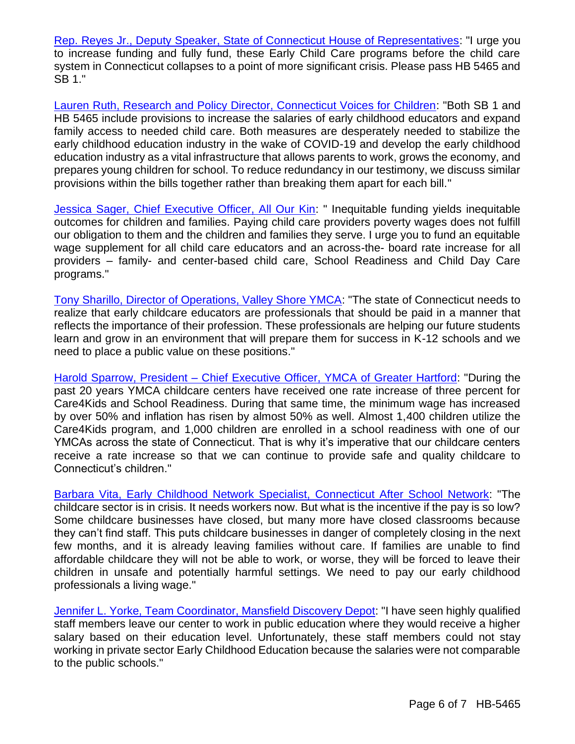[Rep. Reyes Jr., Deputy Speaker, State of Connecticut House of Representatives:](http://cgalites/2022/EDdata/Tmy/2022HB-05465-R000321-Reyes%20JR.,%20Geraldo,%20Representative%20-%20Deputy%20Speaker-CT%20House%20of%20Representatives-TMY.PDF) "I urge you to increase funding and fully fund, these Early Child Care programs before the child care system in Connecticut collapses to a point of more significant crisis. Please pass HB 5465 and SB 1."

[Lauren Ruth, Research and Policy Director, Connecticut Voices for Children:](http://cgalites/2022/EDdata/Tmy/2022HB-05465-R000321-Ruth,%20Lauren,%20Research%20and%20Policy%20Director-Connecticut%20Voices%20for%20Children-TMY.PDF) "Both SB 1 and HB 5465 include provisions to increase the salaries of early childhood educators and expand family access to needed child care. Both measures are desperately needed to stabilize the early childhood education industry in the wake of COVID-19 and develop the early childhood education industry as a vital infrastructure that allows parents to work, grows the economy, and prepares young children for school. To reduce redundancy in our testimony, we discuss similar provisions within the bills together rather than breaking them apart for each bill."

[Jessica Sager, Chief Executive Officer, All Our Kin:](http://cgalites/2022/EDdata/Tmy/2022HB-05465-R000321-Sager,%20Jessica,%20Chief%20Executive%20Officer-All%20Our%20Kin-TMY.PDF) " Inequitable funding yields inequitable outcomes for children and families. Paying child care providers poverty wages does not fulfill our obligation to them and the children and families they serve. I urge you to fund an equitable wage supplement for all child care educators and an across-the- board rate increase for all providers – family- and center-based child care, School Readiness and Child Day Care programs."

[Tony Sharillo, Director of Operations, Valley Shore YMCA:](http://cgalites/2022/EDdata/Tmy/2022HB-05465-R000321-Sharillo,%20Tony-Valley%20shore%20YMCA-TMY.PDF) "The state of Connecticut needs to realize that early childcare educators are professionals that should be paid in a manner that reflects the importance of their profession. These professionals are helping our future students learn and grow in an environment that will prepare them for success in K-12 schools and we need to place a public value on these positions."

Harold Sparrow, President – [Chief Executive Officer, YMCA of Greater Hartford:](http://cgalites/2022/EDdata/Tmy/2022HB-05465-R000321-Sparrow,%20Harold,%20President%20-%20CEO-YMCA%20of%20Greater%20Hartford-TMY.PDF) "During the past 20 years YMCA childcare centers have received one rate increase of three percent for Care4Kids and School Readiness. During that same time, the minimum wage has increased by over 50% and inflation has risen by almost 50% as well. Almost 1,400 children utilize the Care4Kids program, and 1,000 children are enrolled in a school readiness with one of our YMCAs across the state of Connecticut. That is why it's imperative that our childcare centers receive a rate increase so that we can continue to provide safe and quality childcare to Connecticut's children."

[Barbara Vita, Early Childhood Network Specialist, Connecticut After School Network:](http://cgalites/2022/EDdata/Tmy/2022HB-05465-R000321-Vita,%20Barbara-CT%20Children%20s%20Collective-TMY.PDF) "The childcare sector is in crisis. It needs workers now. But what is the incentive if the pay is so low? Some childcare businesses have closed, but many more have closed classrooms because they can't find staff. This puts childcare businesses in danger of completely closing in the next few months, and it is already leaving families without care. If families are unable to find affordable childcare they will not be able to work, or worse, they will be forced to leave their children in unsafe and potentially harmful settings. We need to pay our early childhood professionals a living wage."

[Jennifer L. Yorke, Team Coordinator, Mansfield Discovery Depot:](http://cgalites/2022/EDdata/Tmy/2022HB-05465-R000321-Yorke,%20Jennifer,%20Team%20Coordinator-Mansfield%20Discovery%20Depot-TMY.PDF) "I have seen highly qualified staff members leave our center to work in public education where they would receive a higher salary based on their education level. Unfortunately, these staff members could not stay working in private sector Early Childhood Education because the salaries were not comparable to the public schools."